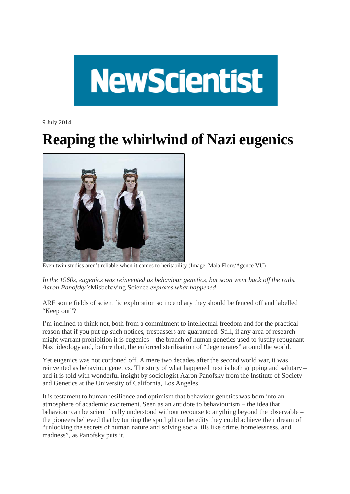

9 July 2014

## **Reaping the whirlwind of Nazi eugenics**



Even twin studies aren't reliable when it comes to heritability (Image: Maia Flore/Agence VU)

*In the 1960s, eugenics was reinvented as behaviour genetics, but soon went back off the rails. Aaron Panofsky's*Misbehaving Science *explores what happened*

ARE some fields of scientific exploration so incendiary they should be fenced off and labelled "Keep out"?

I'm inclined to think not, both from a commitment to intellectual freedom and for the practical reason that if you put up such notices, trespassers are guaranteed. Still, if any area of research might warrant prohibition it is eugenics – the branch of human genetics used to justify repugnant Nazi ideology and, before that, the enforced sterilisation of "degenerates" around the world.

Yet eugenics was not cordoned off. A mere two decades after the second world war, it was reinvented as behaviour genetics. The story of what happened next is both gripping and salutary – and it is told with wonderful insight by sociologist Aaron Panofsky from the Institute of Society and Genetics at the University of California, Los Angeles.

It is testament to human resilience and optimism that behaviour genetics was born into an atmosphere of academic excitement. Seen as an antidote to behaviourism – the idea that behaviour can be scientifically understood without recourse to anything beyond the observable – the pioneers believed that by turning the spotlight on heredity they could achieve their dream of "unlocking the secrets of human nature and solving social ills like crime, homelessness, and madness", as Panofsky puts it.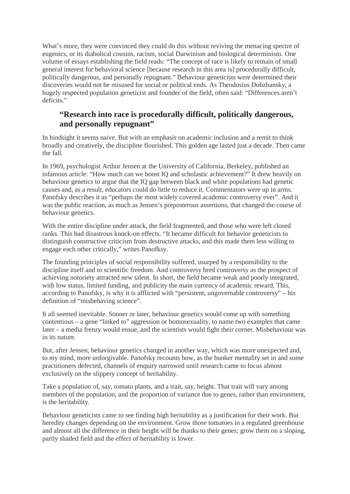What's more, they were convinced they could do this without reviving the menacing spectre of eugenics, or its diabolical cousins, racism, social Darwinism and biological determinism. One volume of essays establishing the field reads: "The concept of race is likely to remain of small general interest for behavioral science [because research in this area is] procedurally difficult, politically dangerous, and personally repugnant." Behaviour geneticists were determined their discoveries would not be misused for social or political ends. As Theodosius Dobzhansky, a hugely respected population geneticist and founder of the field, often said: "Differences aren't deficits."

## **"Research into race is procedurally difficult, politically dangerous, and personally repugnant"**

In hindsight it seems naive. But with an emphasis on academic inclusion and a remit to think broadly and creatively, the discipline flourished. This golden age lasted just a decade. Then came the fall.

In 1969, psychologist Arthur Jensen at the University of California, Berkeley, published an infamous article: "How much can we boost IQ and scholastic achievement?" It drew heavily on behaviour genetics to argue that the IQ gap between black and white populations had genetic causes and, as a result, educators could do little to reduce it. Commentators were up in arms. Panofsky describes it as "perhaps the most widely covered academic controversy ever". And it was the public reaction, as much as Jensen's preposterous assertions, that changed the course of behaviour genetics.

With the entire discipline under attack, the field fragmented, and those who were left closed ranks. This had disastrous knock-on effects. "It became difficult for behavior geneticists to distinguish constructive criticism from destructive attacks, and this made them less willing to engage each other critically," writes Panofksy.

The founding principles of social responsibility suffered, usurped by a responsibility to the discipline itself and to scientific freedom. And controversy bred controversy as the prospect of achieving notoriety attracted new talent. In short, the field became weak and poorly integrated, with low status, limited funding, and publicity the main currency of academic reward. This, according to Panofsky, is why it is afflicted with "persistent, ungovernable controversy" – his definition of "misbehaving science".

It all seemed inevitable. Sooner or later, behaviour genetics would come up with something contentious – a gene "linked to" aggression or homosexuality, to name two examples that came later – a media frenzy would ensue, and the scientists would fight their corner. Misbehaviour was in its nature.

But, after Jensen, behaviour genetics changed in another way, which was more unexpected and, to my mind, more unforgivable. Panofsky recounts how, as the bunker mentality set in and some practitioners defected, channels of enquiry narrowed until research came to focus almost exclusively on the slippery concept of heritability.

Take a population of, say, tomato plants, and a trait, say, height. That trait will vary among members of the population, and the proportion of variance due to genes, rather than environment, is the heritability.

Behaviour geneticists came to see finding high heritability as a justification for their work. But heredity changes depending on the environment. Grow those tomatoes in a regulated greenhouse and almost all the difference in their height will be thanks to their genes; grow them on a sloping, partly shaded field and the effect of heritability is lower.